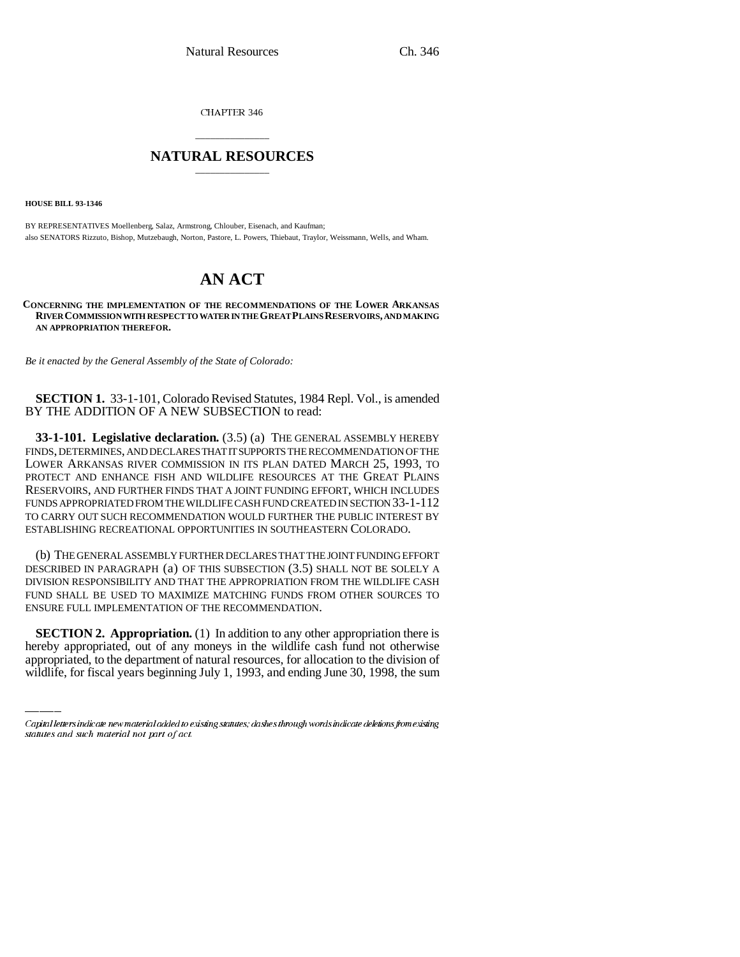CHAPTER 346

## \_\_\_\_\_\_\_\_\_\_\_\_\_\_\_ **NATURAL RESOURCES** \_\_\_\_\_\_\_\_\_\_\_\_\_\_\_

**HOUSE BILL 93-1346**

BY REPRESENTATIVES Moellenberg, Salaz, Armstrong, Chlouber, Eisenach, and Kaufman; also SENATORS Rizzuto, Bishop, Mutzebaugh, Norton, Pastore, L. Powers, Thiebaut, Traylor, Weissmann, Wells, and Wham.

## **AN ACT**

**CONCERNING THE IMPLEMENTATION OF THE RECOMMENDATIONS OF THE LOWER ARKANSAS RIVER COMMISSION WITH RESPECT TO WATER IN THE GREAT PLAINS RESERVOIRS, AND MAKING AN APPROPRIATION THEREFOR.**

*Be it enacted by the General Assembly of the State of Colorado:*

**SECTION 1.** 33-1-101, Colorado Revised Statutes, 1984 Repl. Vol., is amended BY THE ADDITION OF A NEW SUBSECTION to read:

**33-1-101. Legislative declaration.** (3.5) (a) THE GENERAL ASSEMBLY HEREBY FINDS, DETERMINES, AND DECLARES THAT IT SUPPORTS THE RECOMMENDATION OF THE LOWER ARKANSAS RIVER COMMISSION IN ITS PLAN DATED MARCH 25, 1993, TO PROTECT AND ENHANCE FISH AND WILDLIFE RESOURCES AT THE GREAT PLAINS RESERVOIRS, AND FURTHER FINDS THAT A JOINT FUNDING EFFORT, WHICH INCLUDES FUNDS APPROPRIATED FROM THE WILDLIFE CASH FUND CREATED IN SECTION 33-1-112 TO CARRY OUT SUCH RECOMMENDATION WOULD FURTHER THE PUBLIC INTEREST BY ESTABLISHING RECREATIONAL OPPORTUNITIES IN SOUTHEASTERN COLORADO.

(b) THE GENERAL ASSEMBLY FURTHER DECLARES THAT THE JOINT FUNDING EFFORT DESCRIBED IN PARAGRAPH (a) OF THIS SUBSECTION (3.5) SHALL NOT BE SOLELY A DIVISION RESPONSIBILITY AND THAT THE APPROPRIATION FROM THE WILDLIFE CASH FUND SHALL BE USED TO MAXIMIZE MATCHING FUNDS FROM OTHER SOURCES TO ENSURE FULL IMPLEMENTATION OF THE RECOMMENDATION.

**SECTION 2. Appropriation.** (1) In addition to any other appropriation there is hereby appropriated, out of any moneys in the wildlife cash fund not otherwise appropriated, to the department of natural resources, for allocation to the division of wildlife, for fiscal years beginning July 1, 1993, and ending June 30, 1998, the sum

Capital letters indicate new material added to existing statutes; dashes through words indicate deletions from existing statutes and such material not part of act.